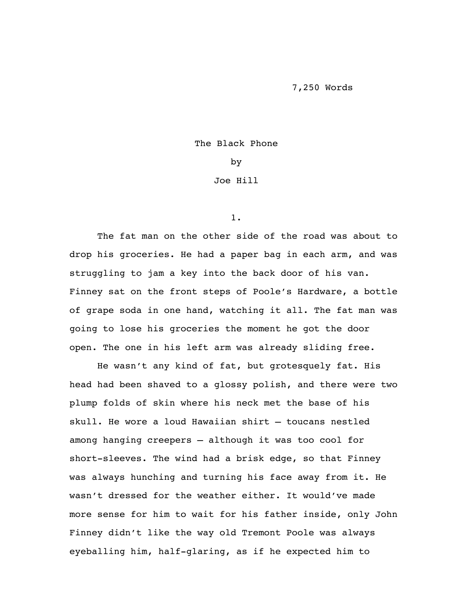#### 7,250 Words

#### The Black Phone

### by

# Joe Hill

# 1.

The fat man on the other side of the road was about to drop his groceries. He had a paper bag in each arm, and was struggling to jam a key into the back door of his van. Finney sat on the front steps of Poole's Hardware, a bottle of grape soda in one hand, watching it all. The fat man was going to lose his groceries the moment he got the door open. The one in his left arm was already sliding free.

He wasn't any kind of fat, but grotesquely fat. His head had been shaved to a glossy polish, and there were two plump folds of skin where his neck met the base of his skull. He wore a loud Hawaiian shirt – toucans nestled among hanging creepers – although it was too cool for short-sleeves. The wind had a brisk edge, so that Finney was always hunching and turning his face away from it. He wasn't dressed for the weather either. It would've made more sense for him to wait for his father inside, only John Finney didn't like the way old Tremont Poole was always eyeballing him, half-glaring, as if he expected him to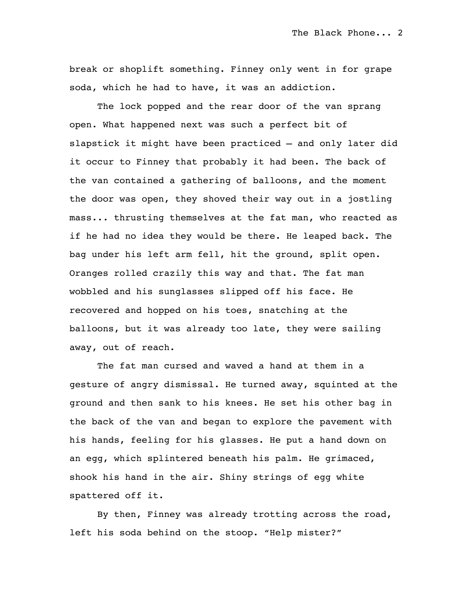break or shoplift something. Finney only went in for grape soda, which he had to have, it was an addiction.

The lock popped and the rear door of the van sprang open. What happened next was such a perfect bit of slapstick it might have been practiced – and only later did it occur to Finney that probably it had been. The back of the van contained a gathering of balloons, and the moment the door was open, they shoved their way out in a jostling mass... thrusting themselves at the fat man, who reacted as if he had no idea they would be there. He leaped back. The bag under his left arm fell, hit the ground, split open. Oranges rolled crazily this way and that. The fat man wobbled and his sunglasses slipped off his face. He recovered and hopped on his toes, snatching at the balloons, but it was already too late, they were sailing away, out of reach.

The fat man cursed and waved a hand at them in a gesture of angry dismissal. He turned away, squinted at the ground and then sank to his knees. He set his other bag in the back of the van and began to explore the pavement with his hands, feeling for his glasses. He put a hand down on an egg, which splintered beneath his palm. He grimaced, shook his hand in the air. Shiny strings of egg white spattered off it.

By then, Finney was already trotting across the road, left his soda behind on the stoop. "Help mister?"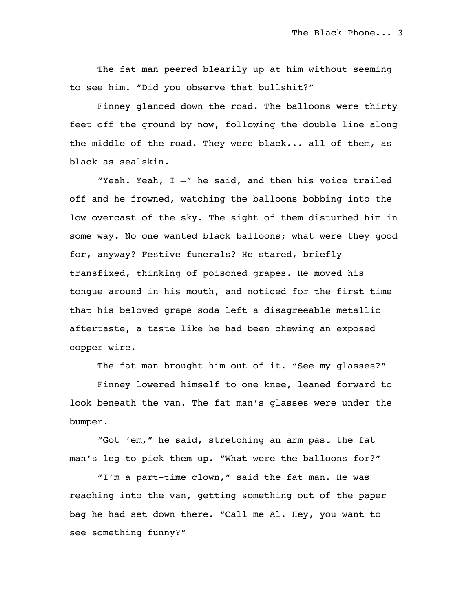The fat man peered blearily up at him without seeming to see him. "Did you observe that bullshit?"

Finney glanced down the road. The balloons were thirty feet off the ground by now, following the double line along the middle of the road. They were black... all of them, as black as sealskin.

"Yeah. Yeah, I –" he said, and then his voice trailed off and he frowned, watching the balloons bobbing into the low overcast of the sky. The sight of them disturbed him in some way. No one wanted black balloons; what were they good for, anyway? Festive funerals? He stared, briefly transfixed, thinking of poisoned grapes. He moved his tongue around in his mouth, and noticed for the first time that his beloved grape soda left a disagreeable metallic aftertaste, a taste like he had been chewing an exposed copper wire.

The fat man brought him out of it. "See my glasses?"

Finney lowered himself to one knee, leaned forward to look beneath the van. The fat man's glasses were under the bumper.

"Got 'em," he said, stretching an arm past the fat man's leg to pick them up. "What were the balloons for?"

"I'm a part-time clown," said the fat man. He was reaching into the van, getting something out of the paper bag he had set down there. "Call me Al. Hey, you want to see something funny?"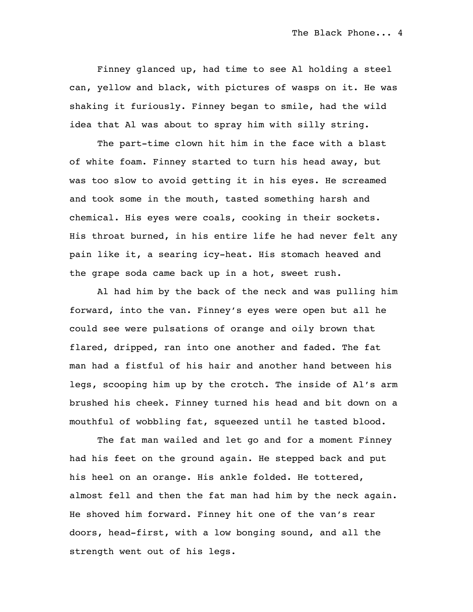Finney glanced up, had time to see Al holding a steel can, yellow and black, with pictures of wasps on it. He was shaking it furiously. Finney began to smile, had the wild idea that Al was about to spray him with silly string.

The part-time clown hit him in the face with a blast of white foam. Finney started to turn his head away, but was too slow to avoid getting it in his eyes. He screamed and took some in the mouth, tasted something harsh and chemical. His eyes were coals, cooking in their sockets. His throat burned, in his entire life he had never felt any pain like it, a searing icy-heat. His stomach heaved and the grape soda came back up in a hot, sweet rush.

Al had him by the back of the neck and was pulling him forward, into the van. Finney's eyes were open but all he could see were pulsations of orange and oily brown that flared, dripped, ran into one another and faded. The fat man had a fistful of his hair and another hand between his legs, scooping him up by the crotch. The inside of Al's arm brushed his cheek. Finney turned his head and bit down on a mouthful of wobbling fat, squeezed until he tasted blood.

The fat man wailed and let go and for a moment Finney had his feet on the ground again. He stepped back and put his heel on an orange. His ankle folded. He tottered, almost fell and then the fat man had him by the neck again. He shoved him forward. Finney hit one of the van's rear doors, head-first, with a low bonging sound, and all the strength went out of his legs.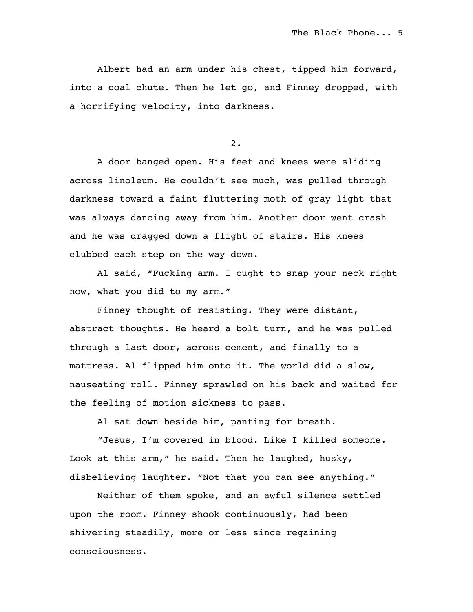Albert had an arm under his chest, tipped him forward, into a coal chute. Then he let go, and Finney dropped, with a horrifying velocity, into darkness.

2.

A door banged open. His feet and knees were sliding across linoleum. He couldn't see much, was pulled through darkness toward a faint fluttering moth of gray light that was always dancing away from him. Another door went crash and he was dragged down a flight of stairs. His knees clubbed each step on the way down.

Al said, "Fucking arm. I ought to snap your neck right now, what you did to my arm."

Finney thought of resisting. They were distant, abstract thoughts. He heard a bolt turn, and he was pulled through a last door, across cement, and finally to a mattress. Al flipped him onto it. The world did a slow, nauseating roll. Finney sprawled on his back and waited for the feeling of motion sickness to pass.

Al sat down beside him, panting for breath.

"Jesus, I'm covered in blood. Like I killed someone. Look at this arm," he said. Then he laughed, husky, disbelieving laughter. "Not that you can see anything."

Neither of them spoke, and an awful silence settled upon the room. Finney shook continuously, had been shivering steadily, more or less since regaining consciousness.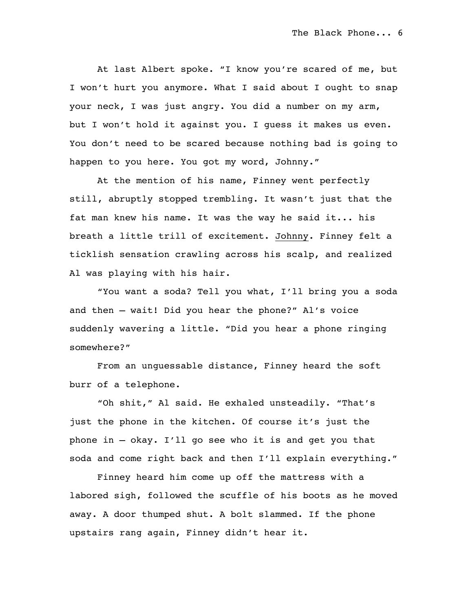At last Albert spoke. "I know you're scared of me, but I won't hurt you anymore. What I said about I ought to snap your neck, I was just angry. You did a number on my arm, but I won't hold it against you. I guess it makes us even. You don't need to be scared because nothing bad is going to happen to you here. You got my word, Johnny."

At the mention of his name, Finney went perfectly still, abruptly stopped trembling. It wasn't just that the fat man knew his name. It was the way he said it... his breath a little trill of excitement. Johnny. Finney felt a ticklish sensation crawling across his scalp, and realized Al was playing with his hair.

"You want a soda? Tell you what, I'll bring you a soda and then – wait! Did you hear the phone?" Al's voice suddenly wavering a little. "Did you hear a phone ringing somewhere?"

From an unguessable distance, Finney heard the soft burr of a telephone.

"Oh shit," Al said. He exhaled unsteadily. "That's just the phone in the kitchen. Of course it's just the phone in – okay. I'll go see who it is and get you that soda and come right back and then I'll explain everything."

Finney heard him come up off the mattress with a labored sigh, followed the scuffle of his boots as he moved away. A door thumped shut. A bolt slammed. If the phone upstairs rang again, Finney didn't hear it.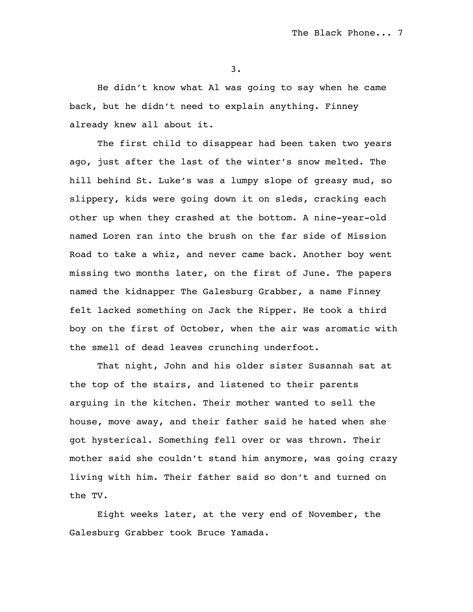3.

He didn't know what Al was going to say when he came back, but he didn't need to explain anything. Finney already knew all about it.

The first child to disappear had been taken two years ago, just after the last of the winter's snow melted. The hill behind St. Luke's was a lumpy slope of greasy mud, so slippery, kids were going down it on sleds, cracking each other up when they crashed at the bottom. A nine-year-old named Loren ran into the brush on the far side of Mission Road to take a whiz, and never came back. Another boy went missing two months later, on the first of June. The papers named the kidnapper The Galesburg Grabber, a name Finney felt lacked something on Jack the Ripper. He took a third boy on the first of October, when the air was aromatic with the smell of dead leaves crunching underfoot.

That night, John and his older sister Susannah sat at the top of the stairs, and listened to their parents arguing in the kitchen. Their mother wanted to sell the house, move away, and their father said he hated when she got hysterical. Something fell over or was thrown. Their mother said she couldn't stand him anymore, was going crazy living with him. Their father said so don't and turned on the TV.

Eight weeks later, at the very end of November, the Galesburg Grabber took Bruce Yamada.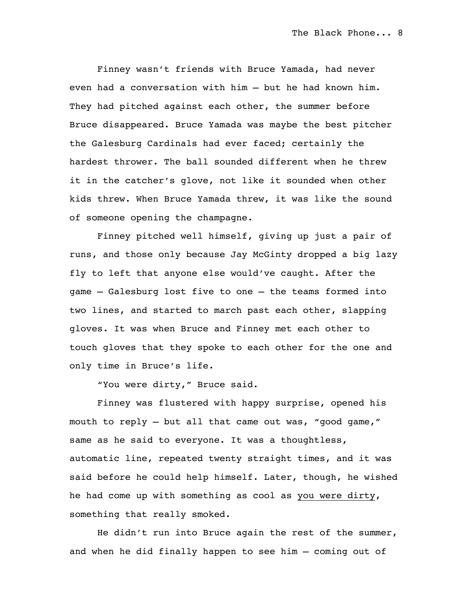Finney wasn't friends with Bruce Yamada, had never even had a conversation with him – but he had known him. They had pitched against each other, the summer before Bruce disappeared. Bruce Yamada was maybe the best pitcher the Galesburg Cardinals had ever faced; certainly the hardest thrower. The ball sounded different when he threw it in the catcher's glove, not like it sounded when other kids threw. When Bruce Yamada threw, it was like the sound of someone opening the champagne.

Finney pitched well himself, giving up just a pair of runs, and those only because Jay McGinty dropped a big lazy fly to left that anyone else would've caught. After the game – Galesburg lost five to one – the teams formed into two lines, and started to march past each other, slapping gloves. It was when Bruce and Finney met each other to touch gloves that they spoke to each other for the one and only time in Bruce's life.

"You were dirty," Bruce said.

Finney was flustered with happy surprise, opened his mouth to reply - but all that came out was, "good game," same as he said to everyone. It was a thoughtless, automatic line, repeated twenty straight times, and it was said before he could help himself. Later, though, he wished he had come up with something as cool as you were dirty, something that really smoked.

He didn't run into Bruce again the rest of the summer, and when he did finally happen to see him – coming out of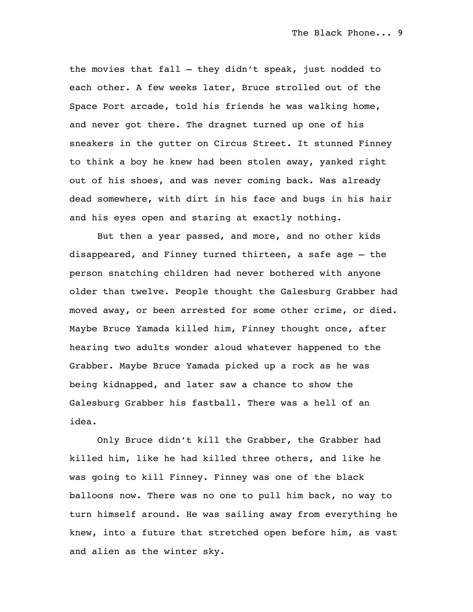the movies that fall – they didn't speak, just nodded to each other. A few weeks later, Bruce strolled out of the Space Port arcade, told his friends he was walking home, and never got there. The dragnet turned up one of his sneakers in the gutter on Circus Street. It stunned Finney to think a boy he knew had been stolen away, yanked right out of his shoes, and was never coming back. Was already dead somewhere, with dirt in his face and bugs in his hair and his eyes open and staring at exactly nothing.

But then a year passed, and more, and no other kids disappeared, and Finney turned thirteen, a safe age – the person snatching children had never bothered with anyone older than twelve. People thought the Galesburg Grabber had moved away, or been arrested for some other crime, or died. Maybe Bruce Yamada killed him, Finney thought once, after hearing two adults wonder aloud whatever happened to the Grabber. Maybe Bruce Yamada picked up a rock as he was being kidnapped, and later saw a chance to show the Galesburg Grabber his fastball. There was a hell of an idea.

Only Bruce didn't kill the Grabber, the Grabber had killed him, like he had killed three others, and like he was going to kill Finney. Finney was one of the black balloons now. There was no one to pull him back, no way to turn himself around. He was sailing away from everything he knew, into a future that stretched open before him, as vast and alien as the winter sky.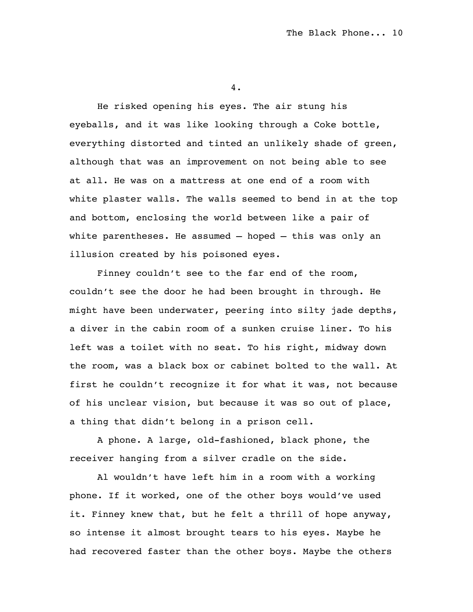4.

He risked opening his eyes. The air stung his eyeballs, and it was like looking through a Coke bottle, everything distorted and tinted an unlikely shade of green, although that was an improvement on not being able to see at all. He was on a mattress at one end of a room with white plaster walls. The walls seemed to bend in at the top and bottom, enclosing the world between like a pair of white parentheses. He assumed - hoped - this was only an illusion created by his poisoned eyes.

Finney couldn't see to the far end of the room, couldn't see the door he had been brought in through. He might have been underwater, peering into silty jade depths, a diver in the cabin room of a sunken cruise liner. To his left was a toilet with no seat. To his right, midway down the room, was a black box or cabinet bolted to the wall. At first he couldn't recognize it for what it was, not because of his unclear vision, but because it was so out of place, a thing that didn't belong in a prison cell.

A phone. A large, old-fashioned, black phone, the receiver hanging from a silver cradle on the side.

Al wouldn't have left him in a room with a working phone. If it worked, one of the other boys would've used it. Finney knew that, but he felt a thrill of hope anyway, so intense it almost brought tears to his eyes. Maybe he had recovered faster than the other boys. Maybe the others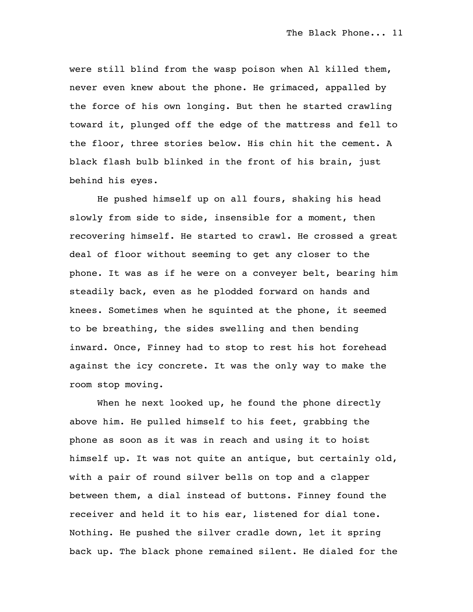were still blind from the wasp poison when Al killed them, never even knew about the phone. He grimaced, appalled by the force of his own longing. But then he started crawling toward it, plunged off the edge of the mattress and fell to the floor, three stories below. His chin hit the cement. A black flash bulb blinked in the front of his brain, just behind his eyes.

He pushed himself up on all fours, shaking his head slowly from side to side, insensible for a moment, then recovering himself. He started to crawl. He crossed a great deal of floor without seeming to get any closer to the phone. It was as if he were on a conveyer belt, bearing him steadily back, even as he plodded forward on hands and knees. Sometimes when he squinted at the phone, it seemed to be breathing, the sides swelling and then bending inward. Once, Finney had to stop to rest his hot forehead against the icy concrete. It was the only way to make the room stop moving.

When he next looked up, he found the phone directly above him. He pulled himself to his feet, grabbing the phone as soon as it was in reach and using it to hoist himself up. It was not quite an antique, but certainly old, with a pair of round silver bells on top and a clapper between them, a dial instead of buttons. Finney found the receiver and held it to his ear, listened for dial tone. Nothing. He pushed the silver cradle down, let it spring back up. The black phone remained silent. He dialed for the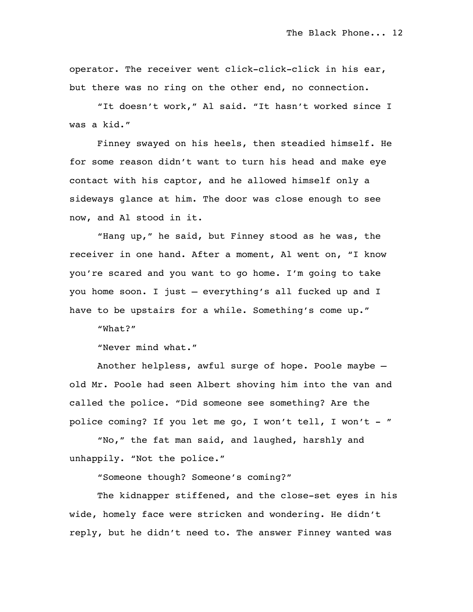operator. The receiver went click-click-click in his ear, but there was no ring on the other end, no connection.

"It doesn't work," Al said. "It hasn't worked since I was a kid."

Finney swayed on his heels, then steadied himself. He for some reason didn't want to turn his head and make eye contact with his captor, and he allowed himself only a sideways glance at him. The door was close enough to see now, and Al stood in it.

"Hang up," he said, but Finney stood as he was, the receiver in one hand. After a moment, Al went on, "I know you're scared and you want to go home. I'm going to take you home soon. I just – everything's all fucked up and I have to be upstairs for a while. Something's come up."

"What?"

"Never mind what."

Another helpless, awful surge of hope. Poole maybe – old Mr. Poole had seen Albert shoving him into the van and called the police. "Did someone see something? Are the police coming? If you let me go, I won't tell, I won't  $-$  "

"No," the fat man said, and laughed, harshly and unhappily. "Not the police."

"Someone though? Someone's coming?"

The kidnapper stiffened, and the close-set eyes in his wide, homely face were stricken and wondering. He didn't reply, but he didn't need to. The answer Finney wanted was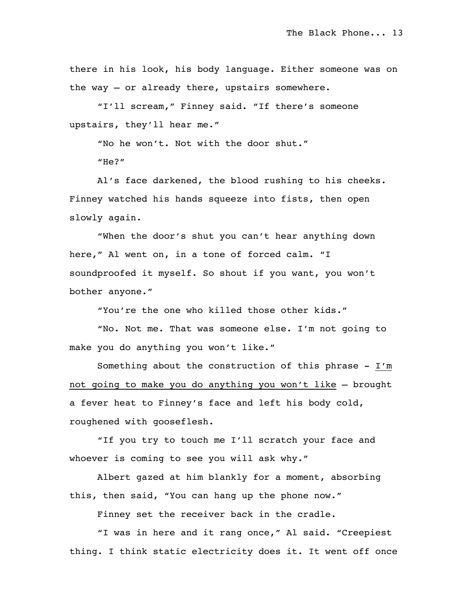there in his look, his body language. Either someone was on the way – or already there, upstairs somewhere.

"I'll scream," Finney said. "If there's someone upstairs, they'll hear me."

"No he won't. Not with the door shut."

 $"He?"$ 

Al's face darkened, the blood rushing to his cheeks. Finney watched his hands squeeze into fists, then open slowly again.

"When the door's shut you can't hear anything down here," Al went on, in a tone of forced calm. "I soundproofed it myself. So shout if you want, you won't bother anyone."

"You're the one who killed those other kids."

"No. Not me. That was someone else. I'm not going to make you do anything you won't like."

Something about the construction of this phrase - I'm not going to make you do anything you won't like – brought a fever heat to Finney's face and left his body cold, roughened with gooseflesh.

"If you try to touch me I'll scratch your face and whoever is coming to see you will ask why."

Albert gazed at him blankly for a moment, absorbing this, then said, "You can hang up the phone now."

Finney set the receiver back in the cradle.

"I was in here and it rang once," Al said. "Creepiest thing. I think static electricity does it. It went off once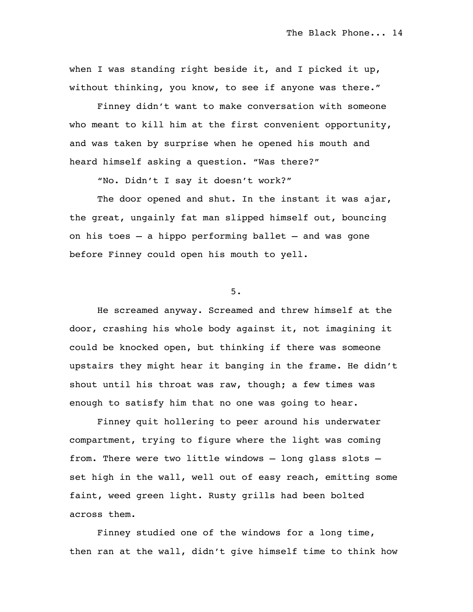when I was standing right beside it, and I picked it up, without thinking, you know, to see if anyone was there."

Finney didn't want to make conversation with someone who meant to kill him at the first convenient opportunity, and was taken by surprise when he opened his mouth and heard himself asking a question. "Was there?"

"No. Didn't I say it doesn't work?"

The door opened and shut. In the instant it was ajar, the great, ungainly fat man slipped himself out, bouncing on his toes – a hippo performing ballet – and was gone before Finney could open his mouth to yell.

#### 5.

He screamed anyway. Screamed and threw himself at the door, crashing his whole body against it, not imagining it could be knocked open, but thinking if there was someone upstairs they might hear it banging in the frame. He didn't shout until his throat was raw, though; a few times was enough to satisfy him that no one was going to hear.

Finney quit hollering to peer around his underwater compartment, trying to figure where the light was coming from. There were two little windows – long glass slots – set high in the wall, well out of easy reach, emitting some faint, weed green light. Rusty grills had been bolted across them.

Finney studied one of the windows for a long time, then ran at the wall, didn't give himself time to think how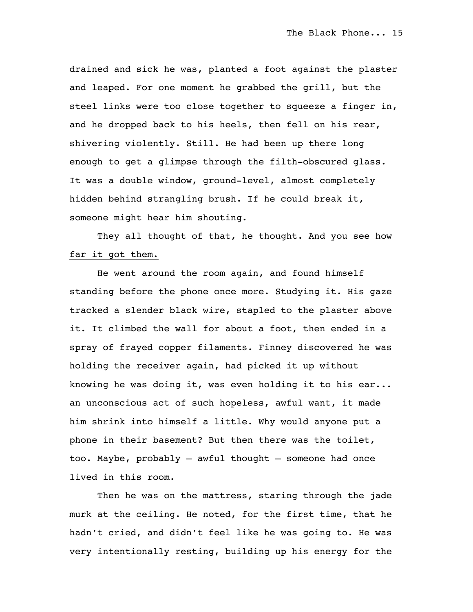drained and sick he was, planted a foot against the plaster and leaped. For one moment he grabbed the grill, but the steel links were too close together to squeeze a finger in, and he dropped back to his heels, then fell on his rear, shivering violently. Still. He had been up there long enough to get a glimpse through the filth-obscured glass. It was a double window, ground-level, almost completely hidden behind strangling brush. If he could break it, someone might hear him shouting.

They all thought of that, he thought. And you see how far it got them.

He went around the room again, and found himself standing before the phone once more. Studying it. His gaze tracked a slender black wire, stapled to the plaster above it. It climbed the wall for about a foot, then ended in a spray of frayed copper filaments. Finney discovered he was holding the receiver again, had picked it up without knowing he was doing it, was even holding it to his ear... an unconscious act of such hopeless, awful want, it made him shrink into himself a little. Why would anyone put a phone in their basement? But then there was the toilet, too. Maybe, probably – awful thought – someone had once lived in this room.

Then he was on the mattress, staring through the jade murk at the ceiling. He noted, for the first time, that he hadn't cried, and didn't feel like he was going to. He was very intentionally resting, building up his energy for the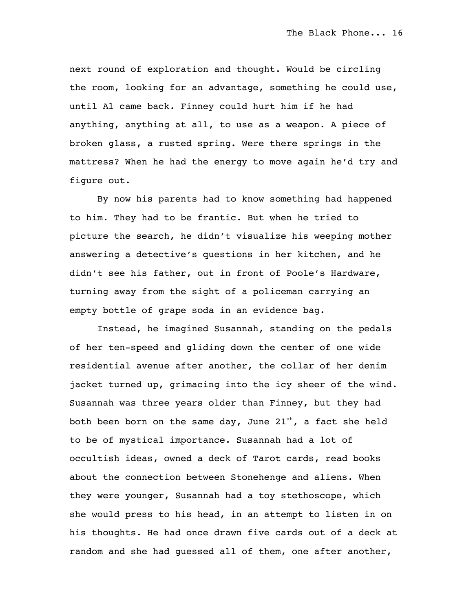next round of exploration and thought. Would be circling the room, looking for an advantage, something he could use, until Al came back. Finney could hurt him if he had anything, anything at all, to use as a weapon. A piece of broken glass, a rusted spring. Were there springs in the mattress? When he had the energy to move again he'd try and figure out.

By now his parents had to know something had happened to him. They had to be frantic. But when he tried to picture the search, he didn't visualize his weeping mother answering a detective's questions in her kitchen, and he didn't see his father, out in front of Poole's Hardware, turning away from the sight of a policeman carrying an empty bottle of grape soda in an evidence bag.

Instead, he imagined Susannah, standing on the pedals of her ten-speed and gliding down the center of one wide residential avenue after another, the collar of her denim jacket turned up, grimacing into the icy sheer of the wind. Susannah was three years older than Finney, but they had both been born on the same day, June  $21^{st}$ , a fact she held to be of mystical importance. Susannah had a lot of occultish ideas, owned a deck of Tarot cards, read books about the connection between Stonehenge and aliens. When they were younger, Susannah had a toy stethoscope, which she would press to his head, in an attempt to listen in on his thoughts. He had once drawn five cards out of a deck at random and she had guessed all of them, one after another,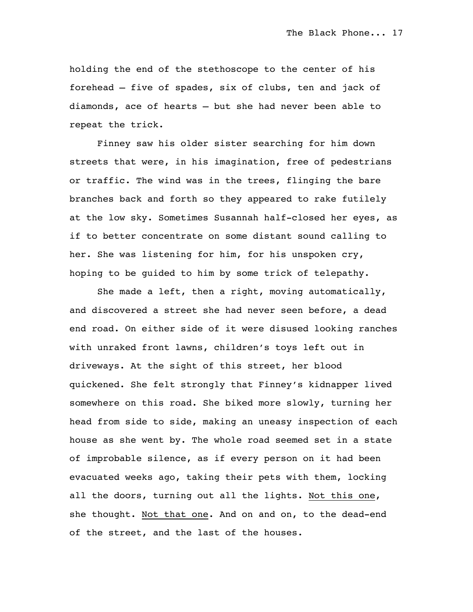holding the end of the stethoscope to the center of his forehead – five of spades, six of clubs, ten and jack of diamonds, ace of hearts – but she had never been able to repeat the trick.

Finney saw his older sister searching for him down streets that were, in his imagination, free of pedestrians or traffic. The wind was in the trees, flinging the bare branches back and forth so they appeared to rake futilely at the low sky. Sometimes Susannah half-closed her eyes, as if to better concentrate on some distant sound calling to her. She was listening for him, for his unspoken cry, hoping to be guided to him by some trick of telepathy.

She made a left, then a right, moving automatically, and discovered a street she had never seen before, a dead end road. On either side of it were disused looking ranches with unraked front lawns, children's toys left out in driveways. At the sight of this street, her blood quickened. She felt strongly that Finney's kidnapper lived somewhere on this road. She biked more slowly, turning her head from side to side, making an uneasy inspection of each house as she went by. The whole road seemed set in a state of improbable silence, as if every person on it had been evacuated weeks ago, taking their pets with them, locking all the doors, turning out all the lights. Not this one, she thought. Not that one. And on and on, to the dead-end of the street, and the last of the houses.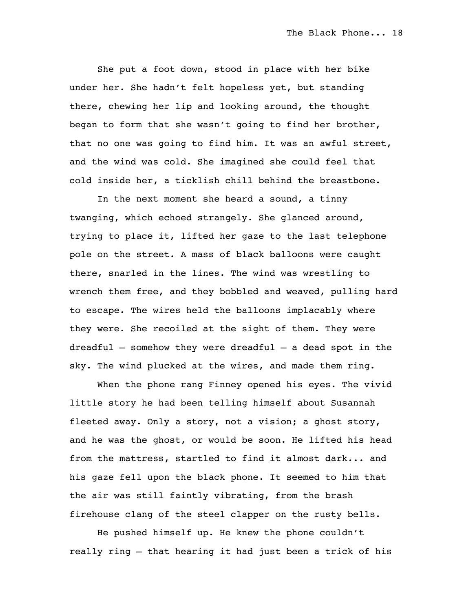She put a foot down, stood in place with her bike under her. She hadn't felt hopeless yet, but standing there, chewing her lip and looking around, the thought began to form that she wasn't going to find her brother, that no one was going to find him. It was an awful street, and the wind was cold. She imagined she could feel that cold inside her, a ticklish chill behind the breastbone.

In the next moment she heard a sound, a tinny twanging, which echoed strangely. She glanced around, trying to place it, lifted her gaze to the last telephone pole on the street. A mass of black balloons were caught there, snarled in the lines. The wind was wrestling to wrench them free, and they bobbled and weaved, pulling hard to escape. The wires held the balloons implacably where they were. She recoiled at the sight of them. They were dreadful – somehow they were dreadful – a dead spot in the sky. The wind plucked at the wires, and made them ring.

When the phone rang Finney opened his eyes. The vivid little story he had been telling himself about Susannah fleeted away. Only a story, not a vision; a ghost story, and he was the ghost, or would be soon. He lifted his head from the mattress, startled to find it almost dark... and his gaze fell upon the black phone. It seemed to him that the air was still faintly vibrating, from the brash firehouse clang of the steel clapper on the rusty bells.

He pushed himself up. He knew the phone couldn't really ring – that hearing it had just been a trick of his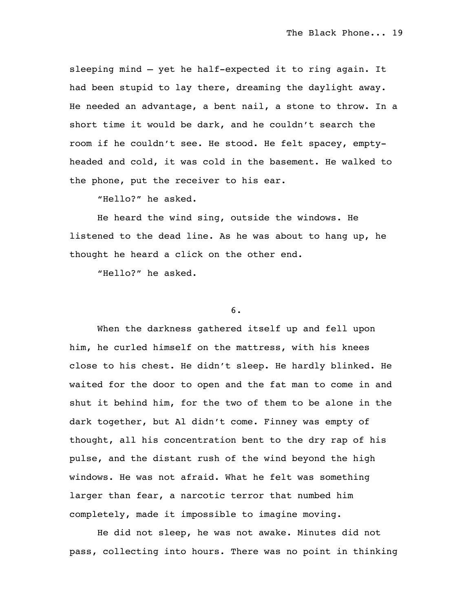sleeping mind – yet he half-expected it to ring again. It had been stupid to lay there, dreaming the daylight away. He needed an advantage, a bent nail, a stone to throw. In a short time it would be dark, and he couldn't search the room if he couldn't see. He stood. He felt spacey, emptyheaded and cold, it was cold in the basement. He walked to the phone, put the receiver to his ear.

"Hello?" he asked.

He heard the wind sing, outside the windows. He listened to the dead line. As he was about to hang up, he thought he heard a click on the other end.

"Hello?" he asked.

## 6.

When the darkness gathered itself up and fell upon him, he curled himself on the mattress, with his knees close to his chest. He didn't sleep. He hardly blinked. He waited for the door to open and the fat man to come in and shut it behind him, for the two of them to be alone in the dark together, but Al didn't come. Finney was empty of thought, all his concentration bent to the dry rap of his pulse, and the distant rush of the wind beyond the high windows. He was not afraid. What he felt was something larger than fear, a narcotic terror that numbed him completely, made it impossible to imagine moving.

He did not sleep, he was not awake. Minutes did not pass, collecting into hours. There was no point in thinking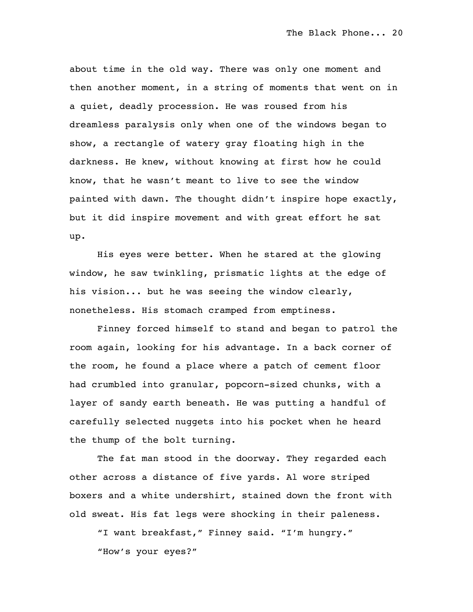about time in the old way. There was only one moment and then another moment, in a string of moments that went on in a quiet, deadly procession. He was roused from his dreamless paralysis only when one of the windows began to show, a rectangle of watery gray floating high in the darkness. He knew, without knowing at first how he could know, that he wasn't meant to live to see the window painted with dawn. The thought didn't inspire hope exactly, but it did inspire movement and with great effort he sat up.

His eyes were better. When he stared at the glowing window, he saw twinkling, prismatic lights at the edge of his vision... but he was seeing the window clearly, nonetheless. His stomach cramped from emptiness.

Finney forced himself to stand and began to patrol the room again, looking for his advantage. In a back corner of the room, he found a place where a patch of cement floor had crumbled into granular, popcorn-sized chunks, with a layer of sandy earth beneath. He was putting a handful of carefully selected nuggets into his pocket when he heard the thump of the bolt turning.

The fat man stood in the doorway. They regarded each other across a distance of five yards. Al wore striped boxers and a white undershirt, stained down the front with old sweat. His fat legs were shocking in their paleness.

"I want breakfast," Finney said. "I'm hungry." "How's your eyes?"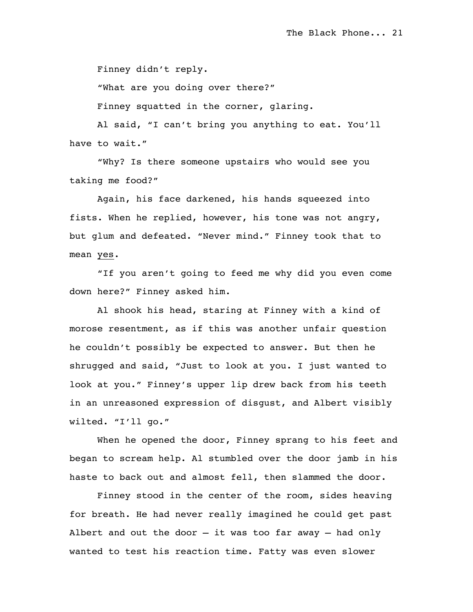Finney didn't reply.

"What are you doing over there?"

Finney squatted in the corner, glaring.

Al said, "I can't bring you anything to eat. You'll have to wait."

"Why? Is there someone upstairs who would see you taking me food?"

Again, his face darkened, his hands squeezed into fists. When he replied, however, his tone was not angry, but glum and defeated. "Never mind." Finney took that to mean yes.

"If you aren't going to feed me why did you even come down here?" Finney asked him.

Al shook his head, staring at Finney with a kind of morose resentment, as if this was another unfair question he couldn't possibly be expected to answer. But then he shrugged and said, "Just to look at you. I just wanted to look at you." Finney's upper lip drew back from his teeth in an unreasoned expression of disgust, and Albert visibly wilted. "I'll go."

When he opened the door, Finney sprang to his feet and began to scream help. Al stumbled over the door jamb in his haste to back out and almost fell, then slammed the door.

Finney stood in the center of the room, sides heaving for breath. He had never really imagined he could get past Albert and out the door  $-$  it was too far away  $-$  had only wanted to test his reaction time. Fatty was even slower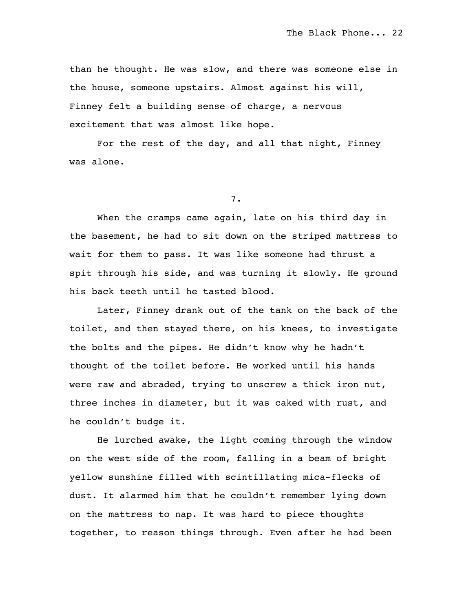than he thought. He was slow, and there was someone else in the house, someone upstairs. Almost against his will, Finney felt a building sense of charge, a nervous excitement that was almost like hope.

For the rest of the day, and all that night, Finney was alone.

7.

When the cramps came again, late on his third day in the basement, he had to sit down on the striped mattress to wait for them to pass. It was like someone had thrust a spit through his side, and was turning it slowly. He ground his back teeth until he tasted blood.

Later, Finney drank out of the tank on the back of the toilet, and then stayed there, on his knees, to investigate the bolts and the pipes. He didn't know why he hadn't thought of the toilet before. He worked until his hands were raw and abraded, trying to unscrew a thick iron nut, three inches in diameter, but it was caked with rust, and he couldn't budge it.

He lurched awake, the light coming through the window on the west side of the room, falling in a beam of bright yellow sunshine filled with scintillating mica-flecks of dust. It alarmed him that he couldn't remember lying down on the mattress to nap. It was hard to piece thoughts together, to reason things through. Even after he had been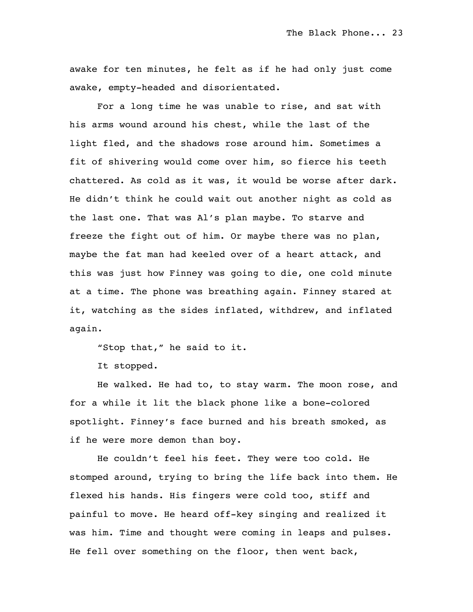awake for ten minutes, he felt as if he had only just come awake, empty-headed and disorientated.

For a long time he was unable to rise, and sat with his arms wound around his chest, while the last of the light fled, and the shadows rose around him. Sometimes a fit of shivering would come over him, so fierce his teeth chattered. As cold as it was, it would be worse after dark. He didn't think he could wait out another night as cold as the last one. That was Al's plan maybe. To starve and freeze the fight out of him. Or maybe there was no plan, maybe the fat man had keeled over of a heart attack, and this was just how Finney was going to die, one cold minute at a time. The phone was breathing again. Finney stared at it, watching as the sides inflated, withdrew, and inflated again.

"Stop that," he said to it.

It stopped.

He walked. He had to, to stay warm. The moon rose, and for a while it lit the black phone like a bone-colored spotlight. Finney's face burned and his breath smoked, as if he were more demon than boy.

He couldn't feel his feet. They were too cold. He stomped around, trying to bring the life back into them. He flexed his hands. His fingers were cold too, stiff and painful to move. He heard off-key singing and realized it was him. Time and thought were coming in leaps and pulses. He fell over something on the floor, then went back,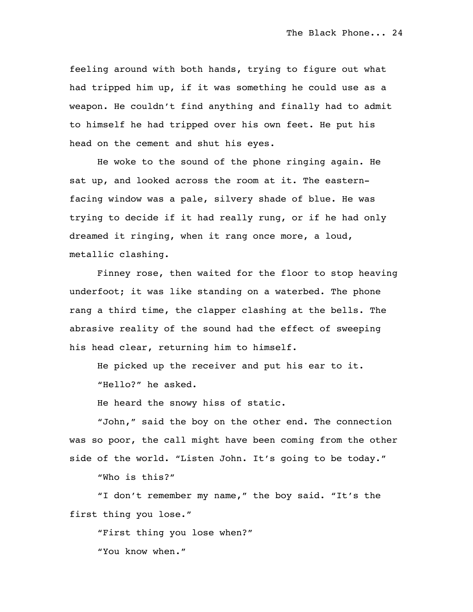feeling around with both hands, trying to figure out what had tripped him up, if it was something he could use as a weapon. He couldn't find anything and finally had to admit to himself he had tripped over his own feet. He put his head on the cement and shut his eyes.

He woke to the sound of the phone ringing again. He sat up, and looked across the room at it. The easternfacing window was a pale, silvery shade of blue. He was trying to decide if it had really rung, or if he had only dreamed it ringing, when it rang once more, a loud, metallic clashing.

Finney rose, then waited for the floor to stop heaving underfoot; it was like standing on a waterbed. The phone rang a third time, the clapper clashing at the bells. The abrasive reality of the sound had the effect of sweeping his head clear, returning him to himself.

He picked up the receiver and put his ear to it. "Hello?" he asked.

He heard the snowy hiss of static.

"John," said the boy on the other end. The connection was so poor, the call might have been coming from the other side of the world. "Listen John. It's going to be today."

"Who is this?"

"I don't remember my name," the boy said. "It's the first thing you lose."

"First thing you lose when?"

"You know when."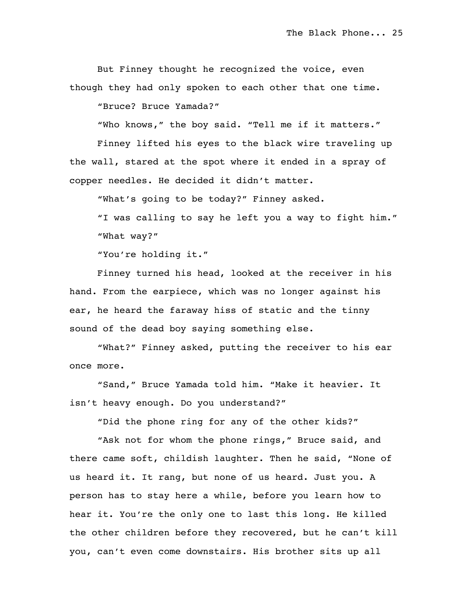But Finney thought he recognized the voice, even though they had only spoken to each other that one time.

"Bruce? Bruce Yamada?"

"Who knows," the boy said. "Tell me if it matters."

Finney lifted his eyes to the black wire traveling up the wall, stared at the spot where it ended in a spray of copper needles. He decided it didn't matter.

"What's going to be today?" Finney asked.

"I was calling to say he left you a way to fight him." "What way?"

"You're holding it."

Finney turned his head, looked at the receiver in his hand. From the earpiece, which was no longer against his ear, he heard the faraway hiss of static and the tinny sound of the dead boy saying something else.

"What?" Finney asked, putting the receiver to his ear once more.

"Sand," Bruce Yamada told him. "Make it heavier. It isn't heavy enough. Do you understand?"

"Did the phone ring for any of the other kids?"

"Ask not for whom the phone rings," Bruce said, and there came soft, childish laughter. Then he said, "None of us heard it. It rang, but none of us heard. Just you. A person has to stay here a while, before you learn how to hear it. You're the only one to last this long. He killed the other children before they recovered, but he can't kill you, can't even come downstairs. His brother sits up all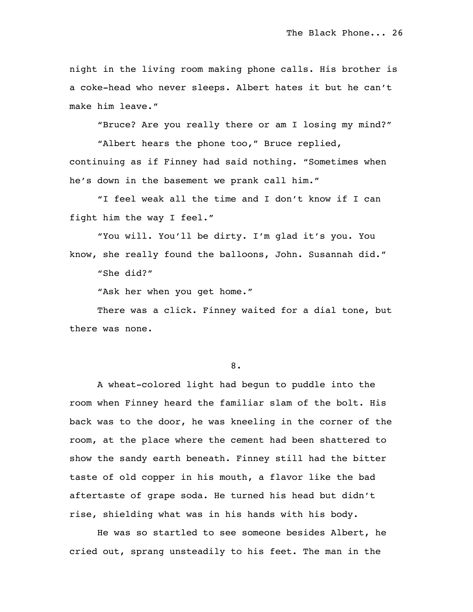night in the living room making phone calls. His brother is a coke-head who never sleeps. Albert hates it but he can't make him leave."

"Bruce? Are you really there or am I losing my mind?"

"Albert hears the phone too," Bruce replied, continuing as if Finney had said nothing. "Sometimes when

he's down in the basement we prank call him."

"I feel weak all the time and I don't know if I can fight him the way I feel."

"You will. You'll be dirty. I'm glad it's you. You know, she really found the balloons, John. Susannah did." "She did?"

"Ask her when you get home."

There was a click. Finney waited for a dial tone, but there was none.

8.

A wheat-colored light had begun to puddle into the room when Finney heard the familiar slam of the bolt. His back was to the door, he was kneeling in the corner of the room, at the place where the cement had been shattered to show the sandy earth beneath. Finney still had the bitter taste of old copper in his mouth, a flavor like the bad aftertaste of grape soda. He turned his head but didn't rise, shielding what was in his hands with his body.

He was so startled to see someone besides Albert, he cried out, sprang unsteadily to his feet. The man in the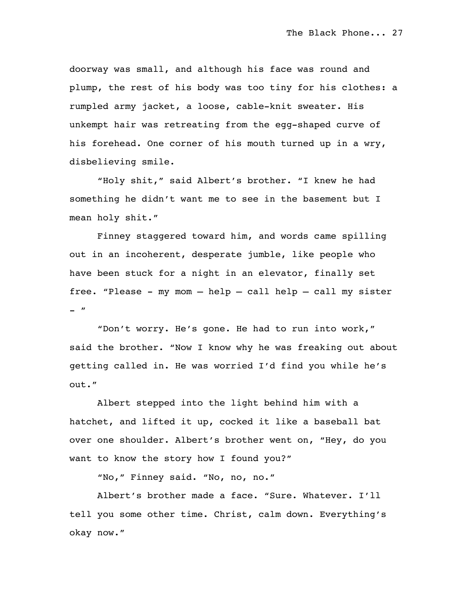doorway was small, and although his face was round and plump, the rest of his body was too tiny for his clothes: a rumpled army jacket, a loose, cable-knit sweater. His unkempt hair was retreating from the egg-shaped curve of his forehead. One corner of his mouth turned up in a wry, disbelieving smile.

"Holy shit," said Albert's brother. "I knew he had something he didn't want me to see in the basement but I mean holy shit."

Finney staggered toward him, and words came spilling out in an incoherent, desperate jumble, like people who have been stuck for a night in an elevator, finally set free. "Please - my mom – help – call help – call my sister  $-$  "

"Don't worry. He's gone. He had to run into work," said the brother. "Now I know why he was freaking out about getting called in. He was worried I'd find you while he's out."

Albert stepped into the light behind him with a hatchet, and lifted it up, cocked it like a baseball bat over one shoulder. Albert's brother went on, "Hey, do you want to know the story how I found you?"

"No," Finney said. "No, no, no."

Albert's brother made a face. "Sure. Whatever. I'll tell you some other time. Christ, calm down. Everything's okay now."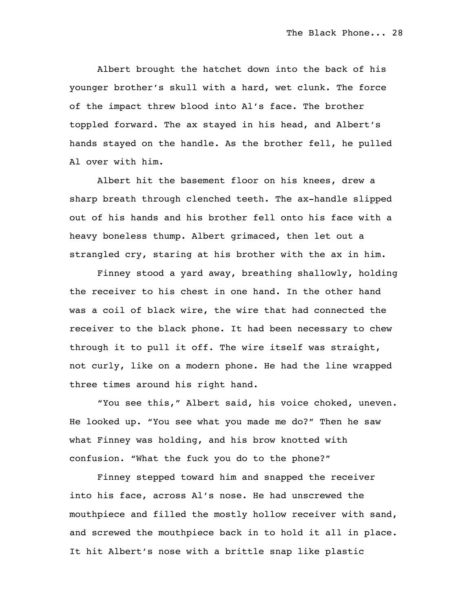Albert brought the hatchet down into the back of his younger brother's skull with a hard, wet clunk. The force of the impact threw blood into Al's face. The brother toppled forward. The ax stayed in his head, and Albert's hands stayed on the handle. As the brother fell, he pulled Al over with him.

Albert hit the basement floor on his knees, drew a sharp breath through clenched teeth. The ax-handle slipped out of his hands and his brother fell onto his face with a heavy boneless thump. Albert grimaced, then let out a strangled cry, staring at his brother with the ax in him.

Finney stood a yard away, breathing shallowly, holding the receiver to his chest in one hand. In the other hand was a coil of black wire, the wire that had connected the receiver to the black phone. It had been necessary to chew through it to pull it off. The wire itself was straight, not curly, like on a modern phone. He had the line wrapped three times around his right hand.

"You see this," Albert said, his voice choked, uneven. He looked up. "You see what you made me do?" Then he saw what Finney was holding, and his brow knotted with confusion. "What the fuck you do to the phone?"

Finney stepped toward him and snapped the receiver into his face, across Al's nose. He had unscrewed the mouthpiece and filled the mostly hollow receiver with sand, and screwed the mouthpiece back in to hold it all in place. It hit Albert's nose with a brittle snap like plastic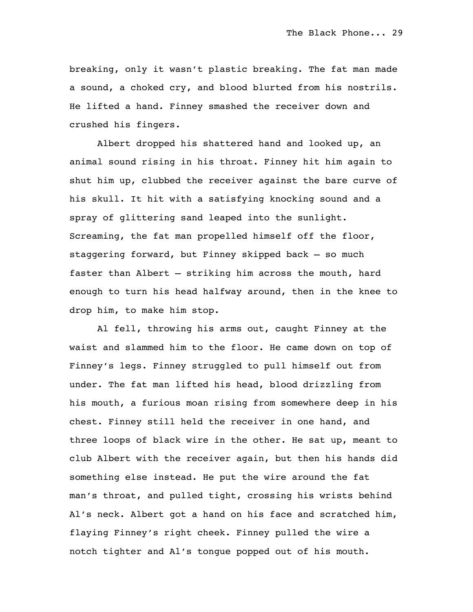breaking, only it wasn't plastic breaking. The fat man made a sound, a choked cry, and blood blurted from his nostrils. He lifted a hand. Finney smashed the receiver down and crushed his fingers.

Albert dropped his shattered hand and looked up, an animal sound rising in his throat. Finney hit him again to shut him up, clubbed the receiver against the bare curve of his skull. It hit with a satisfying knocking sound and a spray of glittering sand leaped into the sunlight. Screaming, the fat man propelled himself off the floor, staggering forward, but Finney skipped back – so much faster than Albert – striking him across the mouth, hard enough to turn his head halfway around, then in the knee to drop him, to make him stop.

Al fell, throwing his arms out, caught Finney at the waist and slammed him to the floor. He came down on top of Finney's legs. Finney struggled to pull himself out from under. The fat man lifted his head, blood drizzling from his mouth, a furious moan rising from somewhere deep in his chest. Finney still held the receiver in one hand, and three loops of black wire in the other. He sat up, meant to club Albert with the receiver again, but then his hands did something else instead. He put the wire around the fat man's throat, and pulled tight, crossing his wrists behind Al's neck. Albert got a hand on his face and scratched him, flaying Finney's right cheek. Finney pulled the wire a notch tighter and Al's tongue popped out of his mouth.